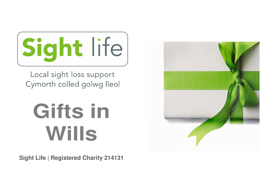

Local sight loss support Cymorth colled golwg lleol

# **Gifts in Wills**

**Sight Life | Registered Charity 214131** 

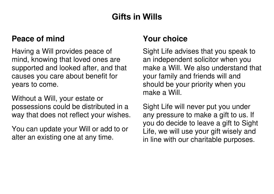# **Gifts in Wills**

#### **Peace of mind**

Having a Will provides peace of mind, knowing that loved ones are supported and looked after, and that causes you care about benefit for years to come.

Without a Will, your estate or possessions could be distributed in a way that does not reflect your wishes.

You can update your Will or add to or alter an existing one at any time.

### **Your choice**

Sight Life advises that you speak to an independent solicitor when you make a Will. We also understand that your family and friends will and should be your priority when you make a Will.

Sight Life will never put you under any pressure to make a gift to us. If you do decide to leave a gift to Sight Life, we will use your gift wisely and in line with our charitable purposes.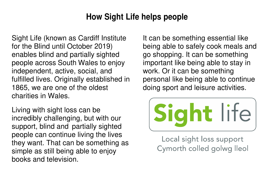## **How Sight Life helps people**

Sight Life (known as Cardiff Institute for the Blind until October 2019) enables blind and partially sighted people across South Wales to enjoy independent, active, social, and fulfilled lives. Originally established in 1865, we are one of the oldest charities in Wales.

Living with sight loss can be incredibly challenging, but with our support, blind and partially sighted people can continue living the lives they want. That can be something as simple as still being able to enjoy books and television.

It can be something essential like being able to safely cook meals and go shopping. It can be something important like being able to stay in work. Or it can be something personal like being able to continue doing sport and leisure activities.



Local sight loss support Cymorth colled golwg lleol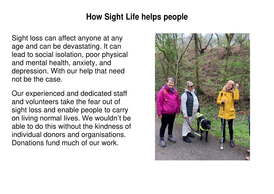## **How Sight Life helps people**

Sight loss can affect anyone at any age and can be devastating. It can lead to social isolation, poor physical and mental health, anxiety, and depression. With our help that need not be the case.

Our experienced and dedicated staff and volunteers take the fear out of sight loss and enable people to carry on living normal lives. We wouldn't be able to do this without the kindness of individual donors and organisations. Donations fund much of our work.

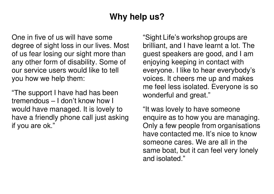# **Why help us?**

One in five of us will have some degree of sight loss in our lives. Most of us fear losing our sight more than any other form of disability. Some of our service users would like to tell you how we help them:

"The support I have had has been tremendous – I don't know how I would have managed. It is lovely to have a friendly phone call just asking if you are ok."

"Sight Life's workshop groups are brilliant, and I have learnt a lot. The guest speakers are good, and I am enjoying keeping in contact with everyone. I like to hear everybody's voices. It cheers me up and makes me feel less isolated. Everyone is so wonderful and great."

"It was lovely to have someone enquire as to how you are managing. Only a few people from organisations have contacted me. It's nice to know someone cares. We are all in the same boat, but it can feel very lonely and isolated."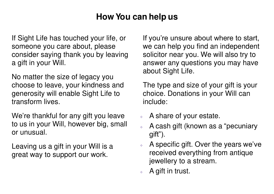# **How You can help us**

If Sight Life has touched your life, or someone you care about, please consider saying thank you by leaving a gift in your Will.

No matter the size of legacy you choose to leave, your kindness and generosity will enable Sight Life to transform lives.

We're thankful for any gift you leave to us in your Will, however big, small or unusual.

Leaving us a gift in your Will is a great way to support our work.

If you're unsure about where to start, we can help you find an independent solicitor near you. We will also try to answer any questions you may have about Sight Life.

The type and size of your gift is your choice. Donations in your Will can include:

- ❖ A share of your estate.
- ❖ A cash gift (known as a "pecuniary gift").
- ❖ A specific gift. Over the years we've received everything from antique jewellery to a stream.
- ❖ A gift in trust.